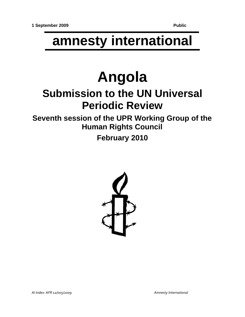## **amnesty international**

# **Angola**

## **Submission to the UN Universal Periodic Review**

**Seventh session of the UPR Working Group of the Human Rights Council**

**February 2010**

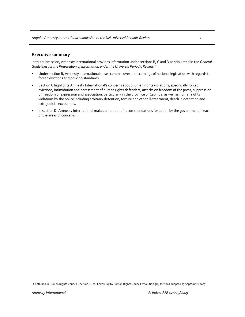#### **Executive summary**

In this submission, Amnesty International provides information under sections B, C and D as stipulated in the *General Guidelines for the Preparation of Information under the Universal Periodic Review:*<sup>1</sup>

- Under section B, Amnesty International raises concern over shortcomings of national legislation with regards to forced evictions and policing standards.
- Section C highlights Amnesty International's concerns about human rights violations, specifically forced evictions, intimidation and harassment of human rights defenders, attacks on freedom of the press, suppression of freedom of expression and association, particularly in the province of Cabinda, as well as human rights violations by the police including arbitrary detention, torture and other ill-treatment, death in detention and extrajudicial executions.
- In section D, Amnesty International makes a number of recommendations for action by the government in each of the areas of concern.

<sup>&</sup>lt;sup>1</sup> Contained in Human Rights Council Decision 6/102, Follow-up to Human Rights Council resolution 5/1, section I adopted 27 September 2007.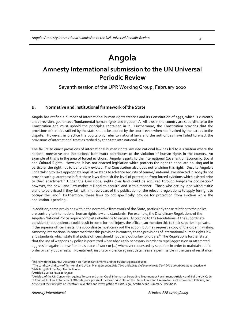### **Angola**

### **Amnesty International submission to the UN Universal Periodic Review**

Seventh session of the UPR Working Group, February 2010

#### **B. Normative and institutional framework of the State**

Angola has ratified a number of international human rights treaties and its Constitution of 1992, which is currently under revision, guarantees 'fundamental human rights and freedoms'. All laws in the country are subordinate to the Constitution and must uphold the principles contained in it. Furthermore, the Constitution provides that the provisions of treaties ratified by the state should be applied by the courts even when not invoked by the parties to the dispute. However, in practice the courts only refer to national laws and the authorities have failed to enact the provisions of international treaties ratified by the State into national law.

The failure to enact provisions of international human rights law into national law has led to a situation where the national normative and institutional framework contributes to the violation of human rights in the country. An example of this is in the area of forced evictions. Angola is party to the International Covenant on Economic, Social and Cultural Rights. However, it has not enacted legislation which protects the right to adequate housing and in particular the right not to be forcibly evicted. The Constitution also does not enshrine this right. Despite Angola's undertaking to take appropriate legislative steps to advance security of tenure,<sup>2</sup> national laws enacted in 2004 do not provide such guarantees; in fact these laws diminish the level of protection from forced evictions which existed prior to their enactment.<sup>3</sup> Under the Civil Code, rights over land could be acquired through long-term occupation;<sup>4</sup> however, the new Land Law makes it illegal to acquire land in this manner. Those who occupy land without title stand to be evicted if they fail, within three years of the publication of the relevant regulations, to apply for right to occupy the land.<sup>5</sup> Furthermore, these laws do not specifically provide for protection from eviction while the application is pending.

In addition, some provisions within the normative framework of the State, particularly those relating to the police, are contrary to international human rights law and standards. For example, the Disciplinary Regulations of the Angolan National Police require complete obedience to orders. According to the Regulations, if the subordinate considers that obedience could result in some form of injury, the officer can mention this to their superior in private. If the superior officer insists, the subordinate must carry out the action, but may request a copy of the order in writing. Amnesty International is concerned that this provision is contrary to the provisions of international human rights law and standards which state that police officers should not carry out unlawful orders.<sup>6</sup> The Regulations further state that the use of weapons by police is permitted when absolutely necessary in order to repel aggression or attempted aggression against oneself or one's place of work or […] whenever requested by superiors in order to maintain public order or carry out arrests. Ill‐treatment, insults or violence against detainees are permissible in the case of resistance,

<sup>3</sup> The Land Law and Law of Territorial and Urban Management (*Lei dɑ Terrɑ* and *Lei de Ordenɑmento do Território e do Urbɑnismo* respectively)<br><sup>4</sup> Article 1528 of the Angolan Civil Code<br><sup>5</sup> Article 84 *Lei dɑ Terrɑ de An* 

 $^2$  In line with the Istanbul Declaration on Human Settlements and the Habitat Agenda of 1996.

<sup>&</sup>lt;sup>6</sup> Article 2 of the UN Convention against Torture and other Cruel, Inhuman or Degrading Treatment or Punishment; Article 5 and 8 of the UN Code of Conduct for Law Enforcement Officials, principle 26 of the Basic Principles on the Use of Force and Firearm for Law Enforcement Officials, and Article 3 of the Principles on Effective Prevention and Investigation of Extra‐legal, Arbitrary and Summary Executions.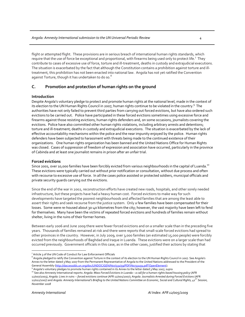flight or attempted flight. These provisions are in serious breach of international human rights standards, which require that the use of force be exceptional and proportional, with firearms being used only to protect life.<sup>7</sup> They contribute to cases of excessive use of force, torture and ill-treatment, deaths in custody and extrajudicial executions. The situation is exacerbated by the fact that although the Constitution contains a prohibition against torture and illtreatment, this prohibition has not been enacted into national law. Angola has not yet ratified the Convention against Torture, though it has undertaken to do so. $^8\,$ 

#### **C. Promotion and protection of human rights on the ground**

#### **Introduction**

Despite Angola's voluntary pledge to protect and promote human rights at the national level, made in the context of its election to the UN Human Rights Council in 2007, human rights continue to be violated in the country.<sup>9</sup> The authorities have not only failed to prevent third parties from carrying out forced evictions, but have also ordered such evictions to be carried out. Police have participated in these forced evictions sometimes using excessive force and firearms against those resisting evictions, human rights defenders and, on some occasions, journalists covering the evictions. Police have also committed other human rights violations, including arbitrary arrests and detentions; torture and ill-treatment; deaths in custody and extrajudicial executions. The situation is exacerbated by the lack of effective accountability mechanisms within the police and the near impunity enjoyed by the police. Human rights defenders have been subjected to harassment with threats being made to the continued existence of their organizations. One human rights organization has been banned and the United Nations Office for Human Rights was closed. Cases of suppression of freedom of expression and association have occurred, particularly in the province of Cabinda and at least one journalist remains in prison after an unfair trial.

#### **Forced evictions**

Since 2001, over 10,000 families have been forcibly evicted from various neighbourhoods in the capital of Luanda.<sup>10</sup> These evictions were typically carried out without prior notification or consultation, without due process and often with recourse to excessive use of force. In all the cases police assisted or protected soldiers, municipal officials and private security guards carrying out the evictions.

Since the end of the war in 2002, reconstruction efforts have created new roads, hospitals, and other sorely needed infrastructure, but these projects have had a heavy human cost. Forced evictions to make way for such developments have targeted the poorest neighbourhoods and affected families that are among the least able to assert their rights and seek recourse from the justice system. Only a few families have been compensated for their losses. Some were re-housed about 30-40 kilometres from the city; however, the vast majority have been left to fend for themselves. Many have been the victims of repeated forced evictions and hundreds of families remain without shelter, living in the ruins of their former homes.

Between early 2006 and June 2009 there were fewer forced evictions and on a smaller scale than in the preceding five years. Thousands of families remained at risk and there were reports that small‐scale forced evictions had spread to other provinces in the country. However, in July 2009, over 3,000 families (an estimated 15,000 people) were forcibly evicted from the neighbourhoods of Baghdad and Iraque in Luanda. These evictions were on a larger scale than had occurred previously. Government officials in this case, as in the other cases, justified their actions by stating that

<sup>9</sup> Angola's voluntary pledges to promote human rights contained in its Annex to the letter dated 3 May 2007, supra<br><sup>10</sup> See also Amnesty International reports: *Angolα: Mass Forced Evictions in Luanda – a call for a human* 

 $\overline{a}$ Article 3 of the UN Code of Conduct for Law Enforcement Officials

 $^8$  Angola pledged to ratify the Convention against Torture in the context of its election to the UN Human Rights Council in 2007. See Angola's Annex to the letter dated 3 May 2007 from the Permanent Representative of Angola to the United Nations addressed to the President of the<br>General Assembly (http://daccessdds.un.org/doc/UNDOC/GEN/N07/331/59/PDF/N0733159.pdf?

<sup>12/007/2003),</sup> Angola: Lives in ruins -- forced evictions continue (AFR 12/001/2007); Angola: Journalists Arrested during Forced Evictions (AFR 12/011/2007) and Angola: Amnesty International's Briefing to the United Nations Committee on Economic, Social and Cultural Rights, 41<sup>5T</sup> Session, *November 2008*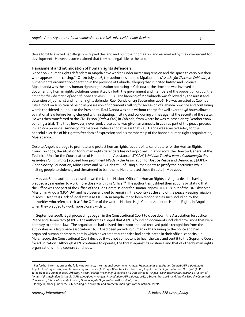those forcibly evicted had illegally occupied the land and built their homes on land earmarked by the government for development. However, some claimed that they had legal title to the land.

#### **Harassment and intimidation of human rights defenders**

Since 2006, human rights defenders in Angola have worked under increasing tension and the space to carry out their work appears to be closing.<sup>11</sup> On 20 July 2006, the authorities banned Mpalabanda *(Associação Cívica de Cabinda)*, a human rights organization operating in the province of Cabinda, alleging that it incited hatred and violence. Mpalabanda was the only human rights organization operating in Cabinda at the time and was involved in documenting human rights violations committed by both the government and members of the opposition group, the *Front for the Liberation of the Cabindan Enclave* (FLEC). The banning of Mpalabanda was followed by the arrest and detention of journalist and human rights defender Raul Danda on 29 September 2006. He was arrested at Cabinda City airport on suspicion of being in possession of documents calling for secession of Cabinda province and containing words considered injurious to the President. Raul Danda was held without charge for well over the 48 hours allowed by national law before being charged with instigating, inciting and condoning crimes against the security of the state. He was then transferred to the Civil Prison (*Cadeia Civil*) in Cabinda, from where he was released on 27 October 2006 pending a trial. The trial, however, never took place as he was given an amnesty in 2007 as part of the peace process in Cabinda province. Amnesty international believes nonetheless that Raul Danda was arrested solely for the peaceful exercise of his right to freedom of expression and his membership of the banned human rights organization, Mpalabanda.

Despite Angola's pledge to promote and protect human rights, as part of its candidature for the Human Rights Council in 2007, the situation for human rights defenders has not improved. In April 2007, the Director General of the Technical Unit for the Coordination of Humanitarian Assistance (UTCAH) [*Unidade Técnica para a Coordenação dos Assuntos Humanitários*] accused four prominent NGOs ‐‐ the Association for Justice Peace and Democracy (AJPD), Open Society Foundation, Mãos Livres and SOS‐Habitat ‐‐ of using human rights to justify their activities while inciting people to violence, and threatened to ban them. He reiterated these threats in May 2007.

In May 2008, the authorities closed down the United Nations Office for Human Rights in Angola despite having pledged a year earlier to work more closely with this Office.<sup>12</sup> The authorities justified their actions by stating that the Office was not part of the Office of the High Commissioner for Human Rights (OHCHR), but of the UN Observer Mission in Angola (MONUA) and had been allowed to remain in the country at the end of the peace‐keeping mission in 2002. Despite its lack of legal status as OHCHR in Angola, it had been recognised as such including by the authorities who referred to it as "the Office of the United Nations High Commissioner on Human Rights in Angola" when they pledged to work more closely with it.

In September 2008, legal proceedings began in the Constitutional Court to close down the Association for Justice Peace and Democracy (AJPD). The authorities alleged that AJPD's founding documents included provisions that were contrary to national law. The organization had existed since 2000 and had received public recognition from the authorities as a legitimate association. AJPD had been providing human rights training to the police and had organised human rights seminars in which government authorities had participated in their official capacity. In March 2009, the Constitutional Court decided it was not competent to hear the case and sent it to the Supreme Court for adjudication. Although AJPD continues to operate, the threat against its existence and that of other human rights organizations in the country continues.

<sup>11</sup> For further information see the following Amnesty International documents: *Angola: Human rights organization banned* (AFR 12/006/2006); Angola: Arbitrary arrest/possible prisoner of conscience (AFR 12/008/2006), 4 October 2006; Angola: Further Information on UA 267/06 (AFR 12/008/2006) 4 October 2006, Arbitrary Arrest/Possible Prisoner of Conscience, 31 October 2006; Angola: Open letter to EU regarding situation of *human rights defenders in Angola* (AFR 12/009/2007); *Angola: Intimidation* (AFR 12/007/2008), 5 September 2008 ; and *Angola: Stop the Continued*

<sup>&</sup>lt;sup>12</sup> Pledge number 5 under the sub-heading, 'To promote and protect human rights at the national level".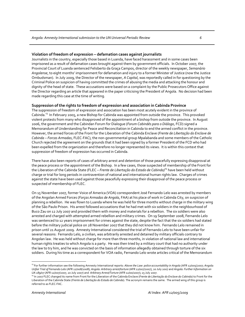#### **Violation of freedom of expression – defamation cases against journalists**

Journalists in the country, especially those based in Luanda, have faced harassment and in some cases been imprisoned as a result of defamation cases brought against them by government officials. In October 2007, the Provincial Court of Luanda sentenced Felisberto da Graça Campos, director of the weekly newspaper, *Semanário Angolense*, to eight months' imprisonment for defamation and injury to a former Minister of Justice (now the Justice Ombudsman). In July 2009, the Director of the newspaper, *A Capital*, was reportedly called in for questioning by the Criminal Police on suspicion of having committed the crimes of abusing the media and attacking the honour and dignity of the head of state. These accusations were based on a complaint by the Public Prosecutors Office against the Director regarding an article that appeared in the paper criticising the President of Angola. No decision had been made regarding this case at the time of writing.

#### **Suppression of the rights to freedom of expression and association in Cabinda Province**

The suppression of freedom of expression and association has been most acutely evident in the province of Cabinda.13 In February 2005, a new Bishop for Cabinda was appointed from outside the province. This provoked violent protests from many who disapproved of the appointment of a bishop from outside the province. In August 2006, the government and the Cabindan Forum for Dialogue (*Forum Cabindés para o Diálogo*, FCD) signed a Memorandum of Understanding for Peace and Reconciliation in Cabinda to end the armed conflict in the province. However, the armed forces of the Front for the Liberation of the Cabinda Enclave (*Frente de Libertação do Enclave de Cabinda – Forcas Armadas*, FLEC‐FAC), the non‐governmental group Mpalabanda and some members of the Catholic Church rejected the agreement on the grounds that it had been signed by a former President of the FCD who had been expelled from the organization and therefore no longer represented its views. It is within this context that suppression of freedom of expression has occurred in Cabinda.

There have also been reports of cases of arbitrary arrest and detention of those peacefully expressing disapproval at the peace process or the appointment of the Bishop. In a few cases, those suspected of membership of the Front for the Liberation of the Cabinda State (FLEC – *Frente de Libertação do Estado de Cabinda)14* have been held without charge or trial for long periods in contravention of national and international human rights law. Charges of crimes against the state have been used against those peacefully expressing their disapproval of the peace process or suspected of membership of FLEC.

On 15 November 2007, former Voice of America (VOA) correspondent José Fernando Lelo was arrested by members of the Angolan Armed Forces (*Forças Armadas de Angola*, FAA) at his place of work in Cabinda City, on suspicion of planning a rebellion. He was flown to Luanda where he was held for three months without charge in the military wing of the São Paulo Prison. His arrest followed accusations that he had met with six soldiers in the neighbourhood of Buco Zau on 12 July 2007 and provided them with money and materials for a rebellion. The six soldiers were also arrested and charged with attempted armed rebellion and military crimes.On 19 September 2008, Fernando Lelo was sentenced to 12 years imprisonment for crimes against the state, despite the fact that the six soldiers had stated before the military judicial police on 28 November 2007 that they did not know him. Fernando Lelo remained in prison until 21 August 2009. Amnesty International considered the trial of Fernando Lelo to have been unfair for several reasons: Fernando Lelo, a civilian, was arbitrarily arrested and detained by military officials contrary to Angolan law. He was held without charge for more than three months, in violation of national law and international human rights treaties to which Angola is a party. He was then tried by a military court that had no authority under the law to try him, and he was convicted on the basis of information allegedly obtained through torture of the six soldiers. During his time as a correspondent for VOA radio, Fernando Lelo wrote articles critical of the Memorandum

<sup>13</sup> For further information see the following Amnesty International reports: *Above the Law: police accountability in Angola* (AFR 12/005/2007; *Angola:* Unfair Trial of Fernando Lelo (AFR 12/008/2008); Angola: Arbitrary arrest/torture (AFR 12/007/2007), 20 July 2007 and Angola: Further Information on<br>UA 189/07 (AFR 12/007/2007, 20 July 2007) and Arbitrary Arrest/Torture (A

<sup>&</sup>lt;sup>14</sup> In 2007 FLEC changed its name from Front for the Liberation of the Cabinda Enclave (Frente de Libertação do Enclave do Cabinda) to Front for the Liberation of the Cabinda State (*Frente de Libertação do Estado de Cabinda*). The acronym remains the same. The armed wing of this group is referred to as FLEC‐FAC.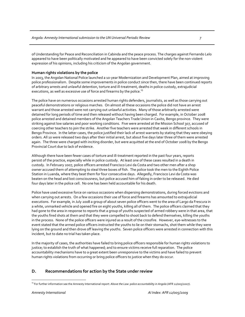of Understanding for Peace and Reconciliation in Cabinda and the peace process. The charges against Fernando Lelo appeared to have been politically motivated and he appeared to have been convicted solely for the non‐violent expression of his opinions, including his criticism of the Angolan government.

#### **Human rights violations by the police**

In 2003, the Angolan National Police launched a 10‐year Modernization and Development Plan, aimed at improving police professionalism. Despite some improvements in police conduct since then, there have been continued reports of arbitrary arrests and unlawful detention, torture and ill‐treatment, deaths in police custody, extrajudicial executions, as well as excessive use of force and firearms by the police.<sup>15</sup>

The police have on numerous occasions arrested human rights defenders, journalists, as well as those carrying out peaceful demonstrations or religious marches. On almost all these occasions the police did not have an arrest warrant and those arrested were not carrying out unlawful activities. Many of those arbitrarily arrested were detained for long periods of time and then released without having been charged. For example, in October 2008 police arrested and detained members of the Angolan Teachers Trade Union in Caxito, Bengo province. They were striking against low salaries and poor working conditions. Five were arrested at the Mission School 307, accused of coercing other teachers to join the strike. Another five teachers were arrested that week in different schools in Bengo Province. In the latter cases, the police justified their lack of arrest warrants by stating that they were obeying orders. All 10 were released two days after their initial arrest, but about five days later three of them were arrested again. The three were charged with inciting disorder, but were acquitted at the end of October 2008 by the Bengo Provincial Court due to lack of evidence.

Although there have been fewer cases of torture and ill‐treatment reported in the past four years, reports persist of the practice, especially while in police custody. At least one of these cases resulted in a death in custody. In February 2007, police officers arrested Francisco Levi da Costa and two other men after a shop owner accused them of attempting to steal three boxes of fish. The police took the men to the Eighth Police Station in Luanda, where they beat them for four consecutive days. Allegedly, Francisco Levi da Costa was beaten on the head and lost consciousness, but police accused him of faking in order to be released. He died four days later in the police cell. No one has been held accountable for his death.

Police have used excessive force on various occasions when dispersing demonstrations, during forced evictions and when carrying out arrests. On a few occasions their use of force and firearms has amounted to extrajudicial executions. For example, in July 2008 a group of about seven police officers went to the area of Largo da Frescura in a white, unmarked vehicle and opened fire on eight youths, killing all of them. The police officers claimed that they had gone to the area in response to reports that a group of youths suspected of armed robbery were in that area, that the youths fired shots at them and that they were compelled to shoot back to defend themselves, killing the youths in the process. None of the police officers were injured as a result of the crossfire. However, eye‐witnesses to the event stated that the armed police officers instructed the youths to lie on their stomachs, shot them while they were lying on the ground and then drove off leaving the youths. Seven police officers were arrested in connection with this incident, but to date no trial has taken place.

In the majority of cases, the authorities have failed to bring police officers responsible for human rights violations to justice; to establish the truth of what happened; and to ensure victims receive full reparation. The police accountability mechanisms have to a great extent been unresponsive to the victims and have failed to prevent human rights violations from occurring or bring police officers to justice when they do occur.

#### **D. Recommendations for action by the State under review**

 $\overline{a}$ <sup>15</sup> For further information see the Amnesty International report: *Above the Law: police accountability in Angola* (AFR 12/005/2007).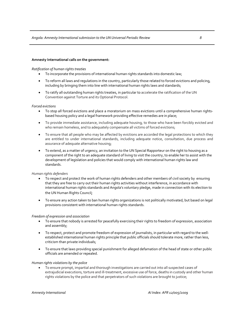#### **Amnesty International calls on the government:**

#### *Ratification of human rights treaties*

- To incorporate the provisions of international human rights standards into domestic law;
- To reform all laws and regulations in the country, particularly those related to forced evictions and policing, including by bringing them into line with international human rights laws and standards;
- To ratify all outstanding human rights treaties, in particular to accelerate the ratification of the UN Convention against Torture and its Optional Protocol.

#### *Forced evictions*

- To stop all forced evictions and place a moratorium on mass evictions until a comprehensive human rights‐ based housing policy and a legal framework providing effective remedies are in place;
- To provide immediate assistance, including adequate housing, to those who have been forcibly evicted and who remain homeless, and to adequately compensate all victims of forced evictions;
- To ensure that all people who may be affected by evictions are accorded the legal protections to which they are entitled to under international standards, including adequate notice, consultation, due process and assurance of adequate alternative housing;
- To extend, as a matter of urgency, an invitation to the UN Special Rapporteur on the right to housing as a component of the right to an adequate standard of living to visit the country, to enable her to assist with the development of legislation and policies that would comply with international human rights law and standards.

#### *Human rights defenders*

- To respect and protect the work of human rights defenders and other members of civil society by ensuring that they are free to carry out their human rights activities without interference, in accordance with international human rights standards and Angola's voluntary pledge, made in connection with its election to the UN Human Rights Council;
- To ensure any action taken to ban human rights organizations is not politically motivated, but based on legal provisions consistent with international human rights standards.

#### *Freedom of expression and association*

- To ensure that nobody is arrested for peacefully exercising their rights to freedom of expression, association and assembly;
- To respect, protect and promote freedom of expression of journalists, in particular with regard to the well‐ established international human rights principle that public officials should tolerate more, rather than less, criticism than private individuals;
- To ensure that laws providing special punishment for alleged defamation of the head of state or other public officials are amended or repealed.

#### *Human rights violations by the police*

• To ensure prompt, impartial and thorough investigations are carried out into all suspected cases of extrajudicial executions, torture and ill-treatment, excessive use of force, deaths in custody and other human rights violations by the police and that perpetrators of such violations are brought to justice;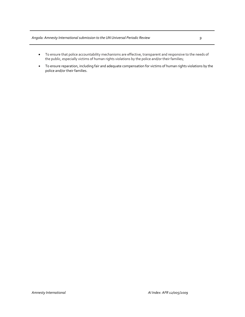#### *Angola: Amnesty Internationalsubmission to the UN Universal Periodic Review 9*

- To ensure that police accountability mechanisms are effective, transparent and responsive to the needs of the public, especially victims of human rights violations by the police and/or their families;
- To ensure reparation, including fair and adequate compensation for victims of human rights violations by the police and/or their families.